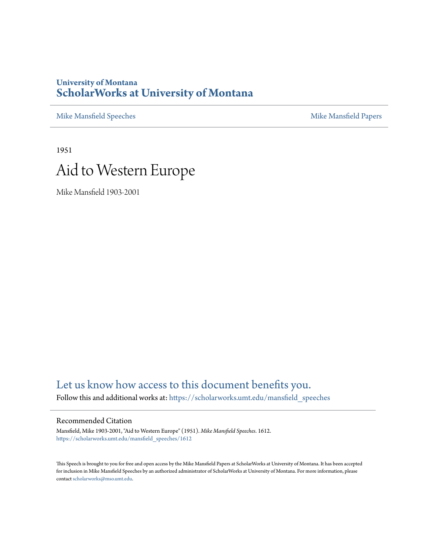## **University of Montana [ScholarWorks at University of Montana](https://scholarworks.umt.edu/?utm_source=scholarworks.umt.edu%2Fmansfield_speeches%2F1612&utm_medium=PDF&utm_campaign=PDFCoverPages)**

[Mike Mansfield Speeches](https://scholarworks.umt.edu/mansfield_speeches?utm_source=scholarworks.umt.edu%2Fmansfield_speeches%2F1612&utm_medium=PDF&utm_campaign=PDFCoverPages) **[Mike Mansfield Papers](https://scholarworks.umt.edu/mike_mansfield_papers?utm_source=scholarworks.umt.edu%2Fmansfield_speeches%2F1612&utm_medium=PDF&utm_campaign=PDFCoverPages)** Mike Mansfield Papers

1951

## Aid to Western Europe

Mike Mansfield 1903-2001

## [Let us know how access to this document benefits you.](https://goo.gl/forms/s2rGfXOLzz71qgsB2)

Follow this and additional works at: [https://scholarworks.umt.edu/mansfield\\_speeches](https://scholarworks.umt.edu/mansfield_speeches?utm_source=scholarworks.umt.edu%2Fmansfield_speeches%2F1612&utm_medium=PDF&utm_campaign=PDFCoverPages)

## Recommended Citation

Mansfield, Mike 1903-2001, "Aid to Western Europe" (1951). *Mike Mansfield Speeches*. 1612. [https://scholarworks.umt.edu/mansfield\\_speeches/1612](https://scholarworks.umt.edu/mansfield_speeches/1612?utm_source=scholarworks.umt.edu%2Fmansfield_speeches%2F1612&utm_medium=PDF&utm_campaign=PDFCoverPages)

This Speech is brought to you for free and open access by the Mike Mansfield Papers at ScholarWorks at University of Montana. It has been accepted for inclusion in Mike Mansfield Speeches by an authorized administrator of ScholarWorks at University of Montana. For more information, please contact [scholarworks@mso.umt.edu.](mailto:scholarworks@mso.umt.edu)